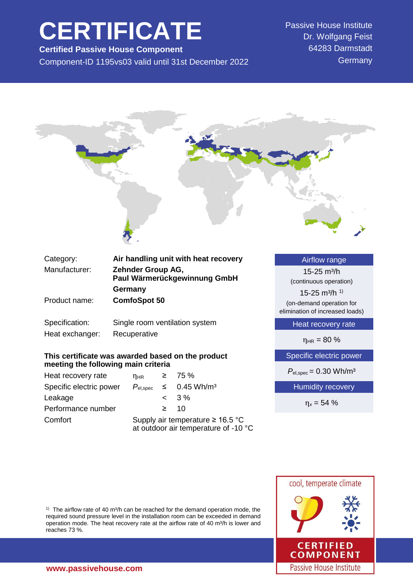# **CERTIFICATE**

**Certified Passive House Component** Component-ID 1195vs03 valid until 31st December 2022 Passive House Institute Dr. Wolfgang Feist 64283 Darmstadt **Germany** 



| Category:      | Air handling unit with heat recovery              |
|----------------|---------------------------------------------------|
| Manufacturer:  | Zehnder Group AG,<br>Paul Wärmerückgewinnung GmbH |
| Product name:  | Germany<br><b>ComfoSpot 50</b>                    |
| Specification: | Single room ventilation system                    |

Heat exchanger: Recuperative

# **This certificate was awarded based on the product meeting the following main criteria**

| Heat recovery rate      | $n_{HR}$                                                                      |  | $\geq 75\%$                                        |
|-------------------------|-------------------------------------------------------------------------------|--|----------------------------------------------------|
| Specific electric power |                                                                               |  | $P_{\text{el,spec}}$ $\leq$ 0.45 Wh/m <sup>3</sup> |
| Leakage                 |                                                                               |  | $< 3\%$                                            |
| Performance number      |                                                                               |  | $\geq$ 10                                          |
| Comfort                 | Supply air temperature $\geq 16.5$ °C<br>at outdoor air temperature of -10 °C |  |                                                    |

Airflow range

15-25 m³/h (continuous operation)

15-25  $m^3/h$ <sup>1)</sup> (on-demand operation for elimination of increased loads)

Heat recovery rate

 $η_{HR} = 80 %$ 

Specific electric power

 $P_{el,spec}$  = 0.30 Wh/m<sup>3</sup>

Humidity recovery

η*<sup>x</sup>* = 54 %

<sup>1)</sup> The airflow rate of 40 m<sup>3</sup>/h can be reached for the demand operation mode, the required sound pressure level in the installation room can be exceeded in demand operation mode. The heat recovery rate at the airflow rate of 40 m<sup>3</sup>/h is lower and reaches 73 %.

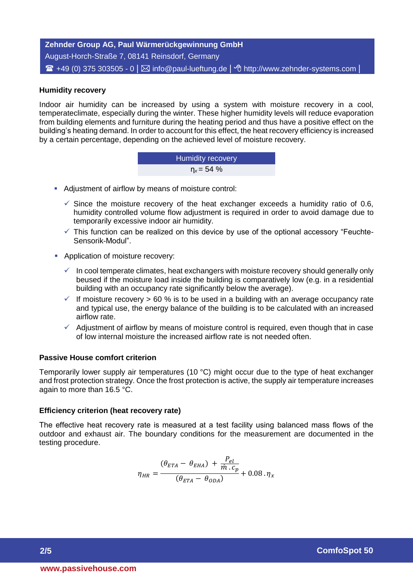**Zehnder Group AG, Paul Wärmerückgewinnung GmbH** August-Horch-Straße 7, 08141 Reinsdorf, Germany  $\mathbf{F}$  +49 (0) 375 303505 - 0  $\vert\mathbf{F}\vert$  info@paul-lueftung.de  $\vert\mathbf{F}\vert$  http://www.zehnder-systems.com

# **Humidity recovery**

**2/5 Humidity recovery**<br> **2/4 Example 120 <b>Concernance Concernance Concernance Concernance Concernance Concernance Concernance Concernance Concernance Concernance Concernance Concernance Concernance Concernance Concer** Indoor air humidity can be increased by using a system with moisture recovery in a cool, temperateclimate, especially during the winter. These higher humidity levels will reduce evaporation from building elements and furniture during the heating period and thus have a positive effect on the building's heating demand. In order to account for this effect, the heat recovery efficiency is increased by a certain percentage, depending on the achieved level of moisture recovery.

Humidity recovery η*<sup>x</sup>* = 54 %

- Adjustment of airflow by means of moisture control:
	- $\checkmark$  Since the moisture recovery of the heat exchanger exceeds a humidity ratio of 0.6, humidity controlled volume flow adjustment is required in order to avoid damage due to temporarily excessive indoor air humidity.
	- $\checkmark$  This function can be realized on this device by use of the optional accessory "Feuchte-Sensorik-Modul".
- **Application of moisture recovery:** 
	- $\checkmark$  In cool temperate climates, heat exchangers with moisture recovery should generally only beused if the moisture load inside the building is comparatively low (e.g. in a residential building with an occupancy rate significantly below the average).
	- If moisture recovery  $> 60$  % is to be used in a building with an average occupancy rate and typical use, the energy balance of the building is to be calculated with an increased airflow rate.
	- $\checkmark$  Adjustment of airflow by means of moisture control is required, even though that in case of low internal moisture the increased airflow rate is not needed often.

#### **Passive House comfort criterion**

Temporarily lower supply air temperatures (10 °C) might occur due to the type of heat exchanger and frost protection strategy. Once the frost protection is active, the supply air temperature increases again to more than 16.5 °C.

#### **Efficiency criterion (heat recovery rate)**

The effective heat recovery rate is measured at a test facility using balanced mass flows of the outdoor and exhaust air. The boundary conditions for the measurement are documented in the testing procedure.

$$
\eta_{HR} = \frac{(\theta_{ETA} - \theta_{EHA}) + \frac{P_{el}}{\dot{m} \cdot c_p}}{(\theta_{ETA} - \theta_{ODA})} + 0.08 \cdot \eta_x
$$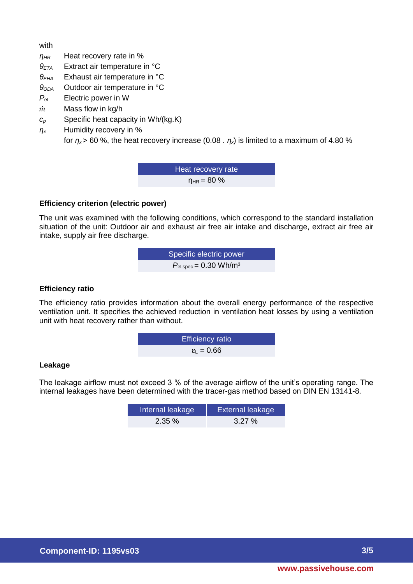with

- *ηHR* Heat recovery rate in %
- *θETA* Extract air temperature in °C
- *θEHA* Exhaust air temperature in °C
- *θODA* Outdoor air temperature in °C
- *P*el Electric power in W
- $\dot{m}$  Mass flow in kg/h
- *c<sup>p</sup>* Specific heat capacity in Wh/(kg.K)
- *η<sup>x</sup>* Humidity recovery in %

for  $n_x$  > 60 %, the heat recovery increase (0.08 .  $n_x$ ) is limited to a maximum of 4.80 %

Heat recovery rate  $n_{HR} = 80 \%$ 

# **Efficiency criterion (electric power)**

The unit was examined with the following conditions, which correspond to the standard installation situation of the unit: Outdoor air and exhaust air free air intake and discharge, extract air free air intake, supply air free discharge.

**5** Specific electric power  
\n
$$
P_{\text{el,spec}} = 0.30 \text{ Wh/m}^3
$$

#### **Efficiency ratio**

The efficiency ratio provides information about the overall energy performance of the respective ventilation unit. It specifies the achieved reduction in ventilation heat losses by using a ventilation unit with heat recovery rather than without.

**Example 12 Efficiency ratio** 
$$
\epsilon_{L} = 0.66
$$

#### **Leakage**

The leakage airflow must not exceed 3 % of the average airflow of the unit's operating range. The internal leakages have been determined with the tracer-gas method based on DIN EN 13141-8.

| Internal leakage | <b>External leakage</b> |
|------------------|-------------------------|
| $2.35\%$         | $3.27\%$                |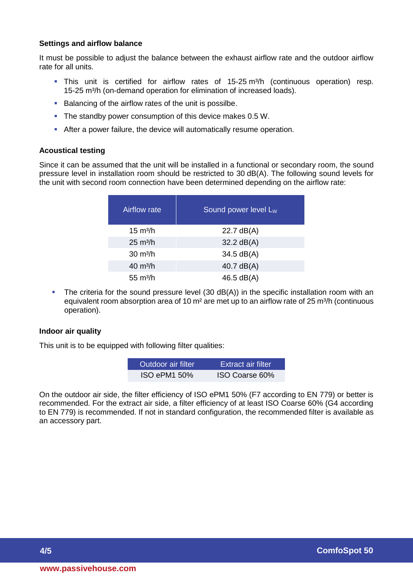### **Settings and airflow balance**

It must be possible to adjust the balance between the exhaust airflow rate and the outdoor airflow rate for all units.

- This unit is certified for airflow rates of 15-25 m<sup>3</sup>/h (continuous operation) resp. 15-25 m<sup>3</sup>/h (on-demand operation for elimination of increased loads).
- Balancing of the airflow rates of the unit is possilbe.
- The standby power consumption of this device makes 0.5 W.
- After a power failure, the device will automatically resume operation.

# **Acoustical testing**

Since it can be assumed that the unit will be installed in a functional or secondary room, the sound pressure level in installation room should be restricted to 30 dB(A). The following sound levels for the unit with second room connection have been determined depending on the airflow rate:

| <b>Airflow rate</b>             | Sound power level $L_W$ |
|---------------------------------|-------------------------|
| $15 \text{ m}^3$ /h             | 22.7 $dB(A)$            |
| $25 \text{ m}^3$ /h             | $32.2$ dB(A)            |
| $30 \text{ m}^3/h$              | $34.5$ dB(A)            |
| $40 \; \mathrm{m}^3/\mathrm{h}$ | 40.7 $dB(A)$            |
| $55 \text{ m}^3$ /h             | 46.5 $dB(A)$            |

The criteria for the sound pressure level (30 dB(A)) in the specific installation room with an equivalent room absorption area of 10 m<sup>2</sup> are met up to an airflow rate of 25 m<sup>3</sup>/h (continuous operation).

# **Indoor air quality**

This unit is to be equipped with following filter qualities:

| Outdoor air filter | lExtract air filter <sup>i</sup> |
|--------------------|----------------------------------|
| $ISO$ ePM1 50%     | ISO Coarse 60%                   |

On the outdoor air side, the filter efficiency of ISO ePM1 50% (F7 according to EN 779) or better is recommended. For the extract air side, a filter efficiency of at least ISO Coarse 60% (G4 according to EN 779) is recommended. If not in standard configuration, the recommended filter is available as an accessory part.